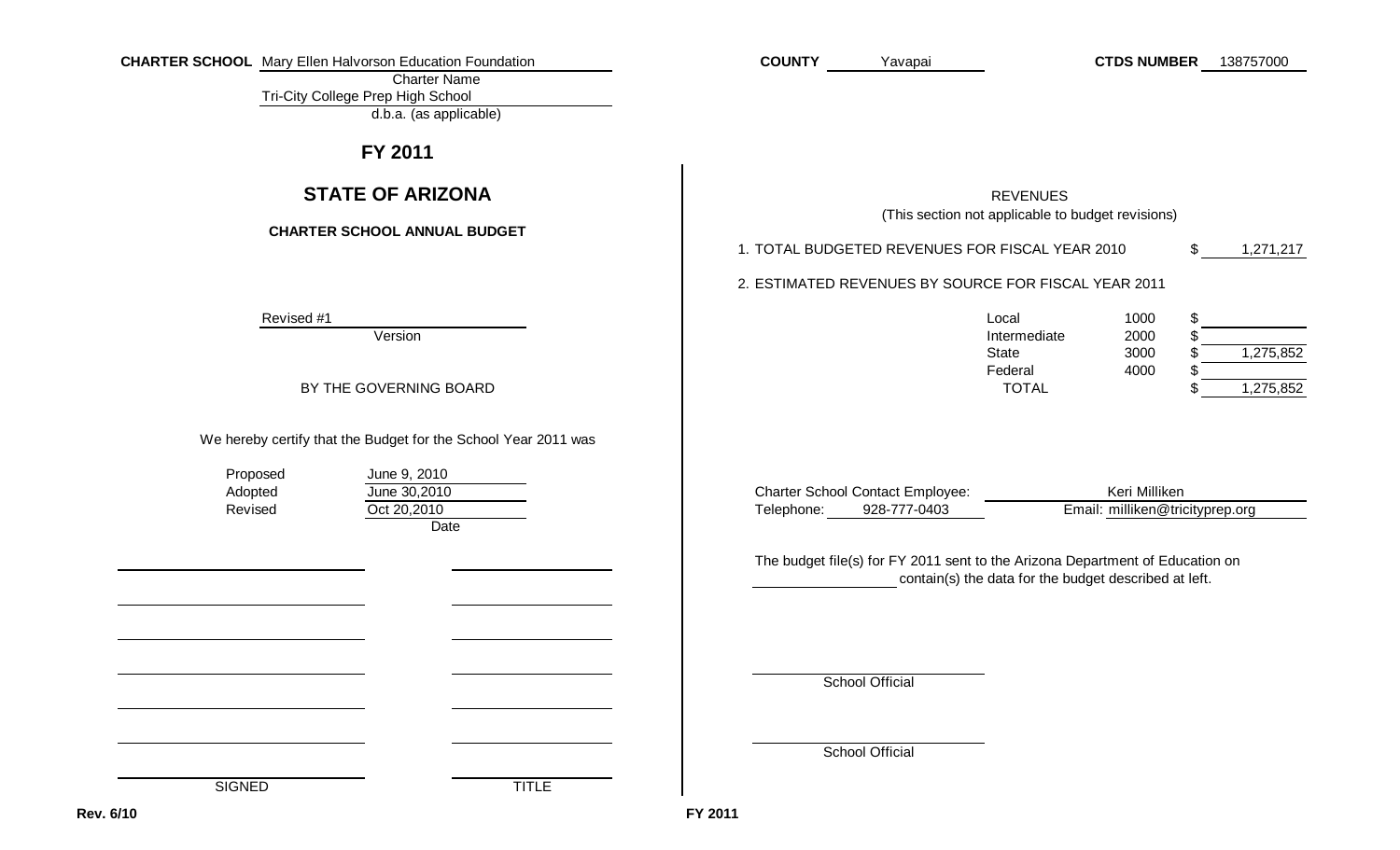| <b>CHARTER SCHOOL</b> Mary Ellen Halvorson Education Foundation<br><b>Charter Name</b><br>Tri-City College Prep High School<br>d.b.a. (as applicable)   | <b>COUNTY</b><br><b>CTDS NUMBER</b><br>138757000<br>Yavapai                                                                                                                                                                                                         |
|---------------------------------------------------------------------------------------------------------------------------------------------------------|---------------------------------------------------------------------------------------------------------------------------------------------------------------------------------------------------------------------------------------------------------------------|
| FY 2011                                                                                                                                                 |                                                                                                                                                                                                                                                                     |
| <b>STATE OF ARIZONA</b><br><b>CHARTER SCHOOL ANNUAL BUDGET</b>                                                                                          | <b>REVENUES</b><br>(This section not applicable to budget revisions)<br>1. TOTAL BUDGETED REVENUES FOR FISCAL YEAR 2010<br>\$<br>1,271,217<br>2. ESTIMATED REVENUES BY SOURCE FOR FISCAL YEAR 2011                                                                  |
| Revised #1<br>Version<br>BY THE GOVERNING BOARD                                                                                                         | \$<br>Local<br>1000<br>Intermediate<br>2000<br>1,275,852<br><b>State</b><br>3000<br>Federal<br>4000<br>1,275,852<br><b>TOTAL</b>                                                                                                                                    |
| We hereby certify that the Budget for the School Year 2011 was<br>Proposed<br>June 9, 2010<br>June 30,2010<br>Adopted<br>Oct 20,2010<br>Revised<br>Date | <b>Charter School Contact Employee:</b><br>Keri Milliken<br>Email: milliken@tricityprep.org<br>928-777-0403<br>Telephone:<br>The budget file(s) for FY 2011 sent to the Arizona Department of Education on<br>contain(s) the data for the budget described at left. |
| <b>SIGNED</b><br><b>TITLE</b>                                                                                                                           | <b>School Official</b><br><b>School Official</b>                                                                                                                                                                                                                    |
| . 6/10                                                                                                                                                  | FY 2011                                                                                                                                                                                                                                                             |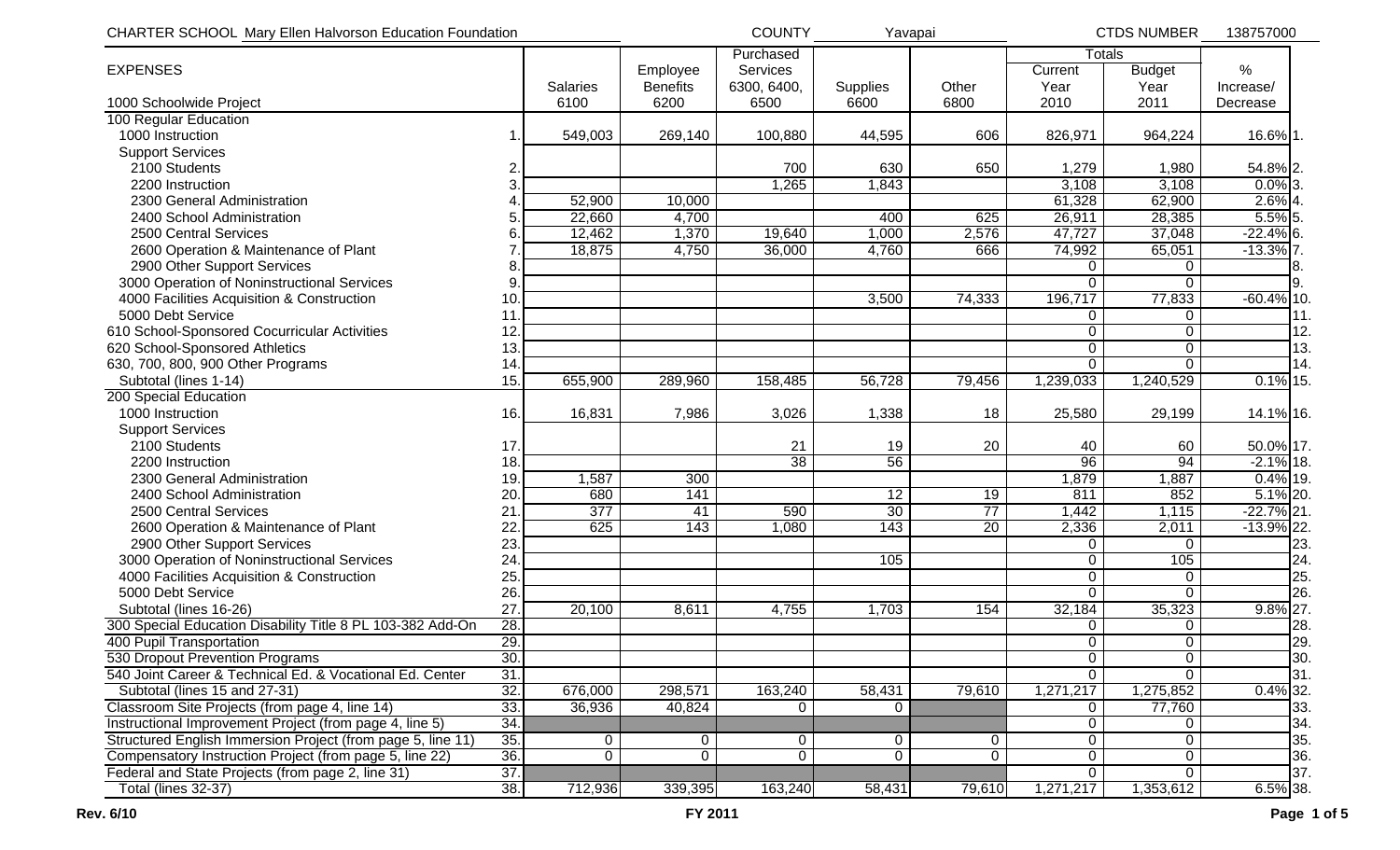| CHARTER SCHOOL Mary Ellen Halvorson Education Foundation    |                 | <b>COUNTY</b>   | Yavapai     |                 | <b>CTDS NUMBER</b> | 138757000      |                |               |     |
|-------------------------------------------------------------|-----------------|-----------------|-------------|-----------------|--------------------|----------------|----------------|---------------|-----|
|                                                             |                 |                 | Purchased   |                 |                    |                | <b>Totals</b>  |               |     |
| <b>EXPENSES</b>                                             |                 | Employee        | Services    |                 |                    | Current        | <b>Budget</b>  | %             |     |
|                                                             | <b>Salaries</b> | <b>Benefits</b> | 6300, 6400, | Supplies        | Other              | Year           | Year           | Increase/     |     |
| 1000 Schoolwide Project                                     | 6100            | 6200            | 6500        | 6600            | 6800               | 2010           | 2011           | Decrease      |     |
| 100 Regular Education                                       |                 |                 |             |                 |                    |                |                |               |     |
| 1000 Instruction                                            | 549,003         | 269,140         | 100,880     | 44,595          | 606                | 826,971        | 964,224        | 16.6% 1.      |     |
| <b>Support Services</b>                                     |                 |                 |             |                 |                    |                |                |               |     |
| 2100 Students                                               | 2               |                 | 700         | 630             | 650                | 1,279          | 1,980          | 54.8% 2.      |     |
| 2200 Instruction                                            | 3               |                 | 1,265       | 1,843           |                    | 3,108          | 3,108          | $0.0\%$ 3.    |     |
| 2300 General Administration                                 | 52,900          | 10,000          |             |                 |                    | 61,328         | 62,900         | $2.6\%$ 4.    |     |
| 2400 School Administration                                  | 22,660          | 4,700           |             | 400             | 625                | 26,911         | 28,385         | 5.5% 5.       |     |
| 2500 Central Services                                       | 12,462<br>6     | 1,370           | 19,640      | 1,000           | 2,576              | 47,727         | 37,048         | $-22.4\%$ 6.  |     |
| 2600 Operation & Maintenance of Plant                       | 18,875          | 4,750           | 36,000      | 4,760           | 666                | 74,992         | 65,051         | $-13.3\%$ 7.  |     |
| 2900 Other Support Services                                 | 8               |                 |             |                 |                    | $\Omega$       | 0              |               |     |
| 3000 Operation of Noninstructional Services                 | 9               |                 |             |                 |                    | $\Omega$       | $\mathbf{0}$   |               | 9.  |
| 4000 Facilities Acquisition & Construction                  | 10 <sub>1</sub> |                 |             | 3,500           | 74,333             | 196,717        | 77,833         | $-60.4\%$ 10. |     |
| 5000 Debt Service                                           | 11              |                 |             |                 |                    | 0              | 0              |               | 11. |
| 610 School-Sponsored Cocurricular Activities                | 12.             |                 |             |                 |                    | $\Omega$       | 0              |               | 12. |
| 620 School-Sponsored Athletics                              | 13.             |                 |             |                 |                    | 0              | 0              |               | 13. |
| 630, 700, 800, 900 Other Programs                           | 14              |                 |             |                 |                    | $\mathbf{0}$   | $\Omega$       |               | 14. |
| Subtotal (lines 1-14)                                       | 15.<br>655,900  | 289,960         | 158,485     | 56,728          | 79,456             | 1,239,033      | 1,240,529      | $0.1\%$ 15.   |     |
| 200 Special Education                                       |                 |                 |             |                 |                    |                |                |               |     |
| 1000 Instruction                                            | 16.<br>16,831   | 7,986           | 3,026       | 1,338           | 18                 | 25,580         | 29,199         | 14.1% 16.     |     |
| <b>Support Services</b>                                     |                 |                 |             |                 |                    |                |                |               |     |
| 2100 Students                                               | 17.             |                 | 21          | 19              | 20                 | 40             | 60             | 50.0% 17.     |     |
| 2200 Instruction                                            | 18.             |                 | 38          | 56              |                    | 96             | 94             | $-2.1\%$ 18.  |     |
| 2300 General Administration                                 | 1,587<br>19.    | 300             |             |                 |                    | 1,879          | 1,887          | $0.4\%$ 19.   |     |
| 2400 School Administration                                  | 680<br>20       | 141             |             | $\overline{12}$ | 19                 | 811            | 852            | $5.1\%$ 20.   |     |
| 2500 Central Services                                       | 377<br>21       | 41              | 590         | 30              | $\overline{77}$    | 1,442          | 1,115          | $-22.7\%$ 21. |     |
| 2600 Operation & Maintenance of Plant                       | 22.<br>625      | 143             | 1,080       | 143             | $\overline{20}$    | 2,336          | 2,011          | $-13.9\%$ 22. |     |
| 2900 Other Support Services                                 | 23.             |                 |             |                 |                    | 0              | $\mathbf{0}$   |               | 23. |
| 3000 Operation of Noninstructional Services                 | 24.             |                 |             | 105             |                    | 0              | 105            |               | 24. |
| 4000 Facilities Acquisition & Construction                  | 25.             |                 |             |                 |                    | 0              | $\mathbf 0$    |               | 25. |
| 5000 Debt Service                                           | 26.             |                 |             |                 |                    | $\Omega$       | $\Omega$       |               | 26. |
| Subtotal (lines 16-26)                                      | 27.<br>20,100   | 8,611           | 4,755       | 1,703           | 154                | 32,184         | 35,323         | $9.8\%$ 27.   |     |
| 300 Special Education Disability Title 8 PL 103-382 Add-On  | 28.             |                 |             |                 |                    | 0              | $\mathbf{0}$   |               | 28. |
| 400 Pupil Transportation                                    | 29.             |                 |             |                 |                    | $\overline{0}$ | $\overline{0}$ |               | 29. |
| 530 Dropout Prevention Programs                             | 30.             |                 |             |                 |                    | $\mathbf 0$    | $\mathbf 0$    |               | 30. |
| 540 Joint Career & Technical Ed. & Vocational Ed. Center    | 31.             |                 |             |                 |                    | $\Omega$       | $\Omega$       |               | 31. |
| Subtotal (lines 15 and 27-31)                               | 32.<br>676,000  | 298,571         | 163,240     | 58,431          | 79,610             | 1,271,217      | 1,275,852      | $0.4\%$ 32.   |     |
| Classroom Site Projects (from page 4, line 14)              | 33.<br>36,936   | 40,824          | $\Omega$    | $\Omega$        |                    | $\mathbf{0}$   | 77,760         |               | 33. |
| Instructional Improvement Project (from page 4, line 5)     | 34.             |                 |             |                 |                    | $\Omega$       | $\Omega$       |               | 34. |
| Structured English Immersion Project (from page 5, line 11) | 35.<br>0        | 0               | 0           | $\Omega$        | $\Omega$           | 0              | 0              |               | 35. |
| Compensatory Instruction Project (from page 5, line 22)     | 36.<br>0        | $\Omega$        | $\Omega$    | $\Omega$        | $\Omega$           | $\mathbf 0$    | $\mathbf{0}$   |               | 36. |
| Federal and State Projects (from page 2, line 31)           | 37.             |                 |             |                 |                    | $\Omega$       | $\Omega$       |               | 37. |
| Total (lines 32-37)                                         | 38.<br>712,936  | 339,395         | 163,240     | 58,431          | 79,610             | 1,271,217      | 1,353,612      | $6.5\%$ 38.   |     |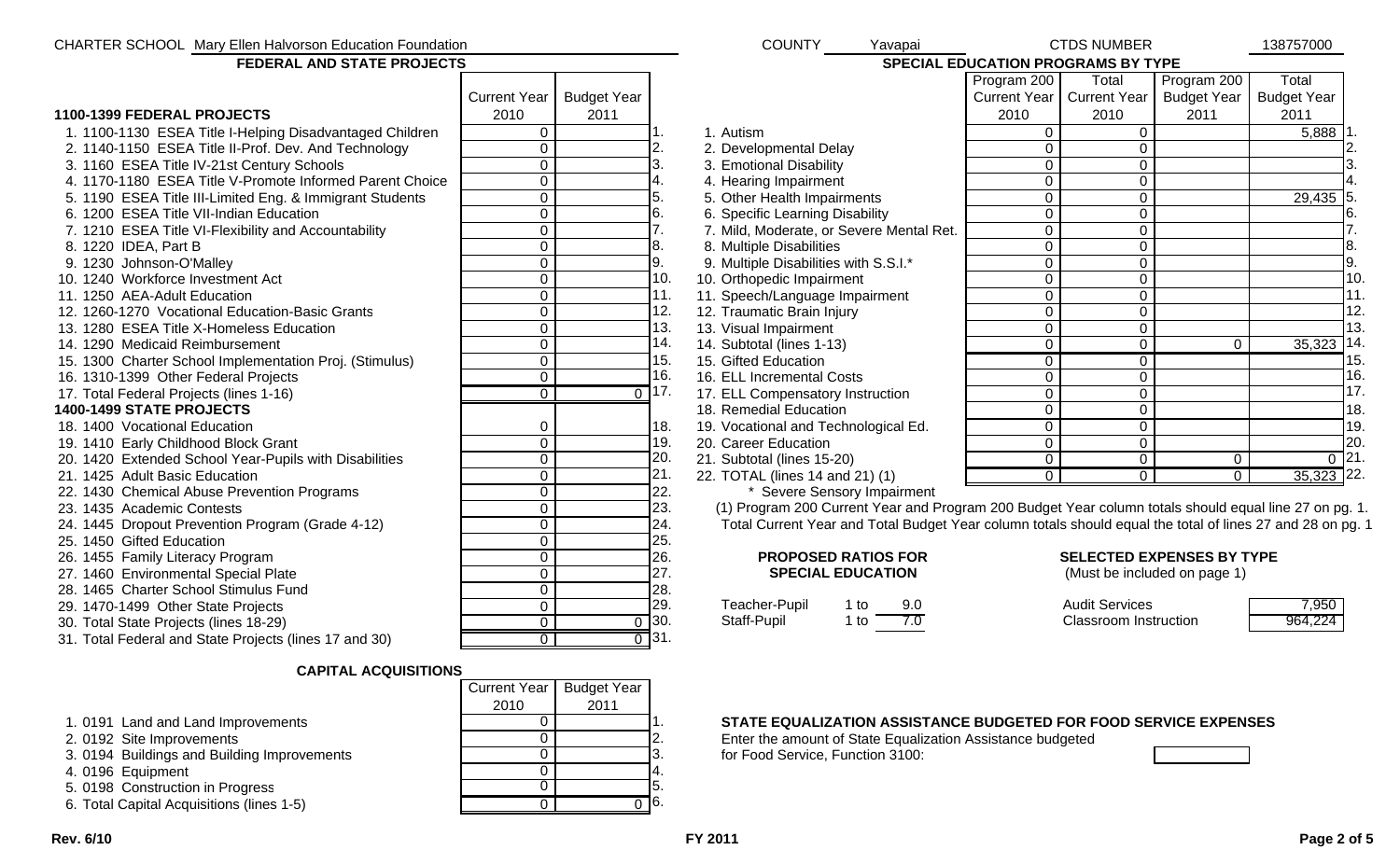| CHARTER SCHOOL Mary Ellen Halvorson Education Foundation |                      |                    |                    | <b>COUNTY</b><br>Yavapai                                                                                  |                | <b>CTDS NUMBER</b>           |                                  | 138757000          |
|----------------------------------------------------------|----------------------|--------------------|--------------------|-----------------------------------------------------------------------------------------------------------|----------------|------------------------------|----------------------------------|--------------------|
| FEDERAL AND STATE PROJECTS                               |                      |                    |                    | SPECIAL EDUCATION PROGRAMS BY TYPE                                                                        |                |                              |                                  |                    |
|                                                          |                      |                    |                    |                                                                                                           | Program 200    | Total                        | Program 200                      | Total              |
|                                                          | <b>Current Year</b>  | <b>Budget Year</b> |                    |                                                                                                           | Current Year   | <b>Current Year</b>          | <b>Budget Year</b>               | <b>Budget Year</b> |
| 1100-1399 FEDERAL PROJECTS                               | 2010                 | 2011               |                    |                                                                                                           | 2010           | 2010                         | 2011                             | 2011               |
| 1. 1100-1130 ESEA Title I-Helping Disadvantaged Children | $\overline{0}$       |                    |                    | 1. Autism                                                                                                 | $\mathbf 0$    | $\overline{0}$               |                                  | $5,888$ 1.         |
| 2. 1140-1150 ESEA Title II-Prof. Dev. And Technology     | $\overline{0}$       |                    | $\overline{2}$ .   | 2. Developmental Delay                                                                                    | $\overline{0}$ | $\overline{0}$               |                                  |                    |
| 3. 1160 ESEA Title IV-21st Century Schools               | $\overline{0}$       |                    | 3.                 | 3. Emotional Disability                                                                                   | $\mathbf 0$    | $\overline{0}$               |                                  |                    |
| 4. 1170-1180 ESEA Title V-Promote Informed Parent Choice | $\overline{0}$       |                    | 4.                 | 4. Hearing Impairment                                                                                     | $\overline{0}$ | $\mathbf{0}$                 |                                  |                    |
| 5. 1190 ESEA Title III-Limited Eng. & Immigrant Students | $\overline{0}$       |                    | 5.                 | 5. Other Health Impairments                                                                               | $\overline{0}$ | $\overline{0}$               |                                  | 29,435             |
| 6. 1200 ESEA Title VII-Indian Education                  | $\overline{0}$       |                    | 6.                 | 6. Specific Learning Disability                                                                           | $\mathbf 0$    | $\overline{0}$               |                                  | 6.                 |
| 7. 1210 ESEA Title VI-Flexibility and Accountability     | $\overline{0}$       |                    | 7.                 | 7. Mild, Moderate, or Severe Mental Ret.                                                                  | $\overline{0}$ | $\pmb{0}$                    |                                  | 7.                 |
| 8. 1220 IDEA, Part B                                     | $\overline{0}$       |                    | 8.                 | 8. Multiple Disabilities                                                                                  | $\overline{0}$ | $\overline{0}$               |                                  | 8.                 |
| 9. 1230 Johnson-O'Malley                                 | $\overline{0}$       |                    | 9.                 | 9. Multiple Disabilities with S.S.I.*                                                                     | $\mathbf 0$    | $\overline{0}$               |                                  | 9.                 |
| 10. 1240 Workforce Investment Act                        | $\overline{0}$       |                    | 10.                | 10. Orthopedic Impairment                                                                                 | $\mathbf 0$    | $\overline{0}$               |                                  | 10.                |
| 11. 1250 AEA-Adult Education                             | $\overline{0}$       |                    | 11.                | 11. Speech/Language Impairment                                                                            | $\mathbf 0$    | $\overline{0}$               |                                  | 11.                |
| 12. 1260-1270 Vocational Education-Basic Grants          | $\overline{0}$       |                    | 12.                | 12. Traumatic Brain Injury                                                                                | $\overline{0}$ | $\overline{0}$               |                                  | 12.                |
| 13. 1280 ESEA Title X-Homeless Education                 | $\overline{0}$       |                    | 13.                | 13. Visual Impairment                                                                                     | $\Omega$       | $\overline{0}$               |                                  | 13.                |
| 14. 1290 Medicaid Reimbursement                          | $\overline{0}$       |                    | 14.                | 14. Subtotal (lines 1-13)                                                                                 | $\overline{0}$ | $\overline{0}$               | $\mathbf 0$                      | $35,323$ 14        |
| 15. 1300 Charter School Implementation Proj. (Stimulus)  | $\mathbf 0$          |                    | 15.                | 15. Gifted Education                                                                                      | $\overline{0}$ | $\overline{0}$               |                                  | 15.                |
| 16. 1310-1399 Other Federal Projects                     | $\overline{0}$       |                    | 16.                | 16. ELL Incremental Costs                                                                                 | $\overline{0}$ | $\overline{0}$               |                                  | 16.                |
| 17. Total Federal Projects (lines 1-16)                  | $\overline{0}$       |                    | $0$ 17.            | 17. ELL Compensatory Instruction                                                                          | $\overline{0}$ | $\overline{0}$               |                                  | 17 <sub>2</sub>    |
| 1400-1499 STATE PROJECTS                                 |                      |                    |                    | 18. Remedial Education                                                                                    | $\mathbf 0$    | $\mathbf 0$                  |                                  | 18.                |
| 18. 1400 Vocational Education                            | $\mathbf 0$          |                    | 18.                | 19. Vocational and Technological Ed.                                                                      | $\overline{0}$ | $\overline{0}$               |                                  | 19.                |
| 19. 1410 Early Childhood Block Grant                     | $\mathbf 0$          |                    | 19.                | 20. Career Education                                                                                      | $\overline{0}$ | $\mathbf 0$                  |                                  | 20.                |
| 20. 1420 Extended School Year-Pupils with Disabilities   | $\overline{0}$       |                    | 20.                | 21. Subtotal (lines 15-20)                                                                                | $\overline{0}$ | $\overline{0}$               | $\mathbf 0$                      | $\overline{0}$ 21. |
| 21. 1425 Adult Basic Education                           | $\mathbf 0$          |                    | 21.                | 22. TOTAL (lines 14 and 21) (1)                                                                           | $\overline{0}$ | $\overline{0}$               | $\overline{0}$                   | 35,323 22.         |
| 22. 1430 Chemical Abuse Prevention Programs              | $\overline{0}$       |                    | 22.                | * Severe Sensory Impairment                                                                               |                |                              |                                  |                    |
| 23. 1435 Academic Contests                               | $\overline{0}$       |                    | 23.                | (1) Program 200 Current Year and Program 200 Budget Year column totals should equal line 27 on pg. 1      |                |                              |                                  |                    |
| 24. 1445 Dropout Prevention Program (Grade 4-12)         | $\mathbf 0$          |                    | 24.                | Total Current Year and Total Budget Year column totals should equal the total of lines 27 and 28 on pg. 1 |                |                              |                                  |                    |
| 25. 1450 Gifted Education                                | $\overline{0}$       |                    | 25.                |                                                                                                           |                |                              |                                  |                    |
| 26. 1455 Family Literacy Program                         | $\overline{0}$       |                    | 26.                | <b>PROPOSED RATIOS FOR</b>                                                                                |                |                              | <b>SELECTED EXPENSES BY TYPE</b> |                    |
| 27. 1460 Environmental Special Plate                     | $\overline{0}$       |                    | 27.                | <b>SPECIAL EDUCATION</b>                                                                                  |                |                              | (Must be included on page 1)     |                    |
| 28. 1465 Charter School Stimulus Fund                    | $\overline{0}$       |                    | 28.                |                                                                                                           |                |                              |                                  |                    |
| 29. 1470-1499 Other State Projects                       | $\overline{0}$       |                    | 29.                | Teacher-Pupil<br>$1$ to<br>9.0                                                                            |                | <b>Audit Services</b>        |                                  | 7,950              |
| 30. Total State Projects (lines 18-29)                   | $\overline{0}$       |                    | $\frac{0}{0}$ 30.  | 7.0<br>$1$ to<br>Staff-Pupil                                                                              |                | <b>Classroom Instruction</b> |                                  | 964,224            |
| 31. Total Federal and State Projects (lines 17 and 30)   | $\overline{\bullet}$ |                    | $\overline{0}$ 31. |                                                                                                           |                |                              |                                  |                    |
| <b>CAPITAL ACQUISITIONS</b>                              |                      |                    |                    |                                                                                                           |                |                              |                                  |                    |
|                                                          | <b>Current Year</b>  | <b>Budget Year</b> |                    |                                                                                                           |                |                              |                                  |                    |
|                                                          | 2010                 | 2011               |                    |                                                                                                           |                |                              |                                  |                    |
| 1. 0191 Land and Land Improvements                       | $\mathbf{0}$         |                    |                    | STATE EQUALIZATION ASSISTANCE BUDGETED FOR FOOD SERVICE EXPENSES                                          |                |                              |                                  |                    |
| 2. 0192 Site Improvements                                | $\overline{0}$       |                    | 2.                 | Enter the amount of State Equalization Assistance budgeted                                                |                |                              |                                  |                    |

- 
- 3. 0194 Buildings and Building Improvements <br>4. 0196 Equipment 0
- 4. 0196 Equipment 0 4.
- 5. 0198 Construction in Progress 6 6 5. 0198 Construction in Progress 6 6 5.
- 6. Total Capital Acquisitions (lines 1-5) <sup>0</sup> <sup>0</sup> 6.

0 2. Enter the amount of State Equalization Assistance budgeted<br>0 3. For Food Service, Function 3100: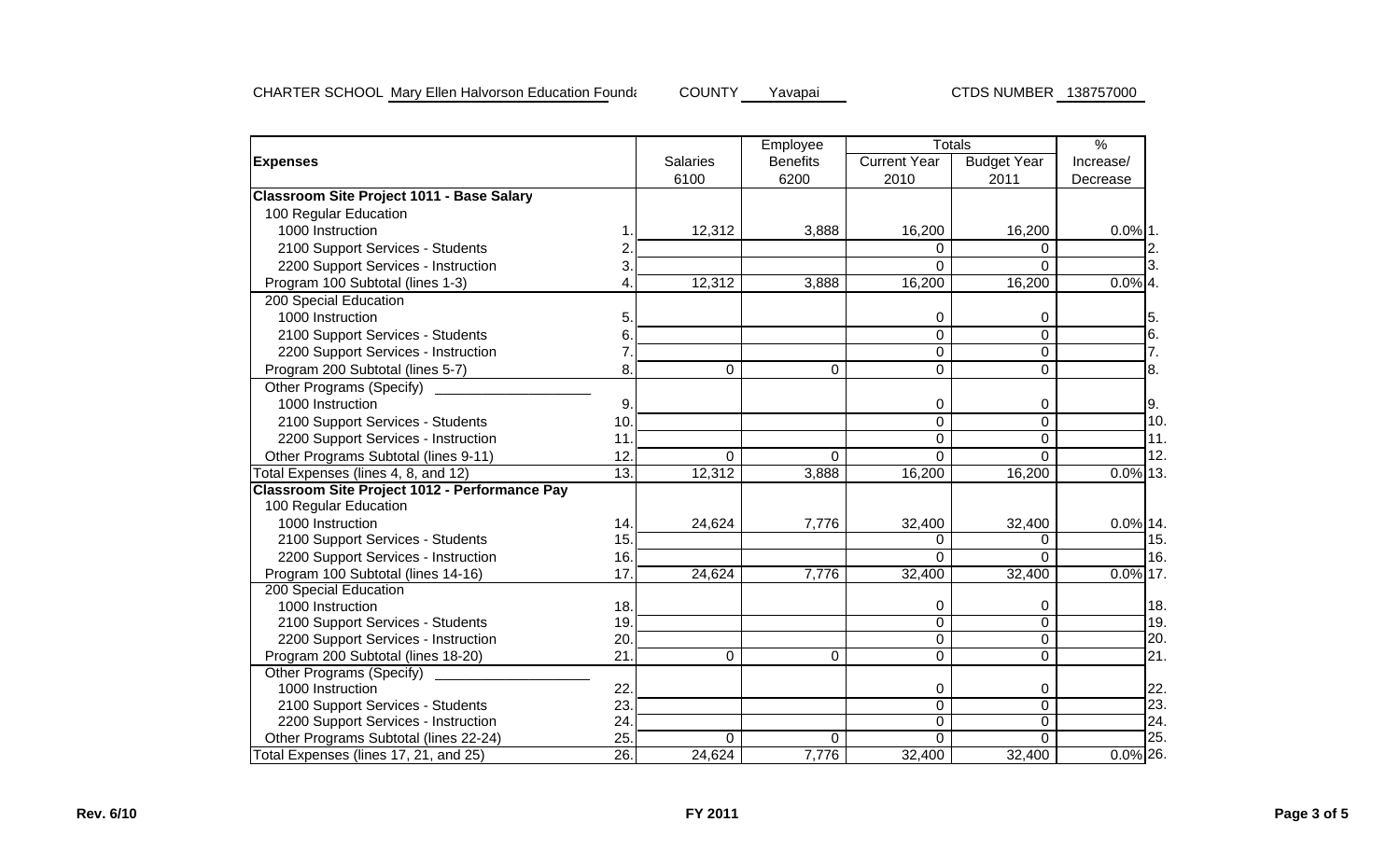|                                                      |                |                 | Employee        |                     | <b>Totals</b>      | $\%$        |
|------------------------------------------------------|----------------|-----------------|-----------------|---------------------|--------------------|-------------|
| <b>Expenses</b>                                      |                | <b>Salaries</b> | <b>Benefits</b> | <b>Current Year</b> | <b>Budget Year</b> | Increase/   |
|                                                      |                | 6100            | 6200            | 2010                | 2011               | Decrease    |
| <b>Classroom Site Project 1011 - Base Salary</b>     |                |                 |                 |                     |                    |             |
| 100 Regular Education                                |                |                 |                 |                     |                    |             |
| 1000 Instruction                                     |                | 12,312          | 3,888           | 16,200              | 16,200             | $0.0\%$ 1.  |
| 2100 Support Services - Students                     | $\overline{2}$ |                 |                 | 0                   | 0                  | 2.          |
| 2200 Support Services - Instruction                  | 3.             |                 |                 | $\Omega$            | $\Omega$           | 3.          |
| Program 100 Subtotal (lines 1-3)                     | 4              | 12,312          | 3,888           | 16,200              | 16,200             | $0.0\%$ 4.  |
| 200 Special Education                                |                |                 |                 |                     |                    |             |
| 1000 Instruction                                     | 5              |                 |                 | 0                   | 0                  | 5.          |
| 2100 Support Services - Students                     | 6.             |                 |                 | $\mathbf 0$         | $\overline{0}$     | 6.          |
| 2200 Support Services - Instruction                  |                |                 |                 | $\overline{0}$      | $\overline{0}$     | 7.          |
| Program 200 Subtotal (lines 5-7)                     | 8.             | $\overline{0}$  | 0               | $\mathbf 0$         | $\mathbf 0$        | 8.          |
| Other Programs (Specify)                             |                |                 |                 |                     |                    |             |
| 1000 Instruction                                     | 9.             |                 |                 | $\mathbf 0$         | 0                  | 9.          |
| 2100 Support Services - Students                     | 10.            |                 |                 | $\mathbf 0$         | $\overline{0}$     | 10.         |
| 2200 Support Services - Instruction                  | 11             |                 |                 | 0                   | $\mathbf 0$        | 11.         |
| Other Programs Subtotal (lines 9-11)                 | 12             | $\Omega$        | 0               | $\overline{0}$      | $\overline{0}$     | 12.         |
| otal Expenses (lines 4, 8, and 12)                   | 13.            | 12,312          | 3,888           | 16,200              | 16,200             | $0.0\%$ 13. |
| <b>Classroom Site Project 1012 - Performance Pay</b> |                |                 |                 |                     |                    |             |
| 100 Regular Education                                |                |                 |                 |                     |                    |             |
| 1000 Instruction                                     | 14.            | 24,624          | 7,776           | 32,400              | 32,400             | $0.0\%$ 14. |
| 2100 Support Services - Students                     | 15.            |                 |                 | 0                   | 0                  | 15.         |
| 2200 Support Services - Instruction                  | 16.            |                 |                 | 0                   | $\Omega$           | 16.         |
| Program 100 Subtotal (lines 14-16)                   | 17             | 24,624          | 7,776           | 32,400              | 32,400             | $0.0\%$ 17. |
| 200 Special Education                                |                |                 |                 |                     |                    |             |
| 1000 Instruction                                     | 18.            |                 |                 | 0                   | 0                  | 18.         |
| 2100 Support Services - Students                     | 19.            |                 |                 | 0                   | $\overline{0}$     | 19.         |
| 2200 Support Services - Instruction                  | 20             |                 |                 | $\mathbf 0$         | $\overline{0}$     | 20.         |
| Program 200 Subtotal (lines 18-20)                   | 21             | 0               | 0               | 0                   | $\mathbf 0$        | 21.         |
| Other Programs (Specify)                             |                |                 |                 |                     |                    |             |
| 1000 Instruction                                     | 22             |                 |                 | $\mathbf 0$         | 0                  | 22.         |
| 2100 Support Services - Students                     | 23             |                 |                 | $\overline{0}$      | $\overline{0}$     | 23.         |
| 2200 Support Services - Instruction                  | 24             |                 |                 | 0                   | 0                  | 24.         |
| Other Programs Subtotal (lines 22-24)                | 25             | $\Omega$        | $\Omega$        | 0                   | $\Omega$           | 25.         |
| Total Expenses (lines 17, 21, and 25)                | 26.            | 24,624          | 7,776           | 32,400              | 32,400             | $0.0\%$ 26. |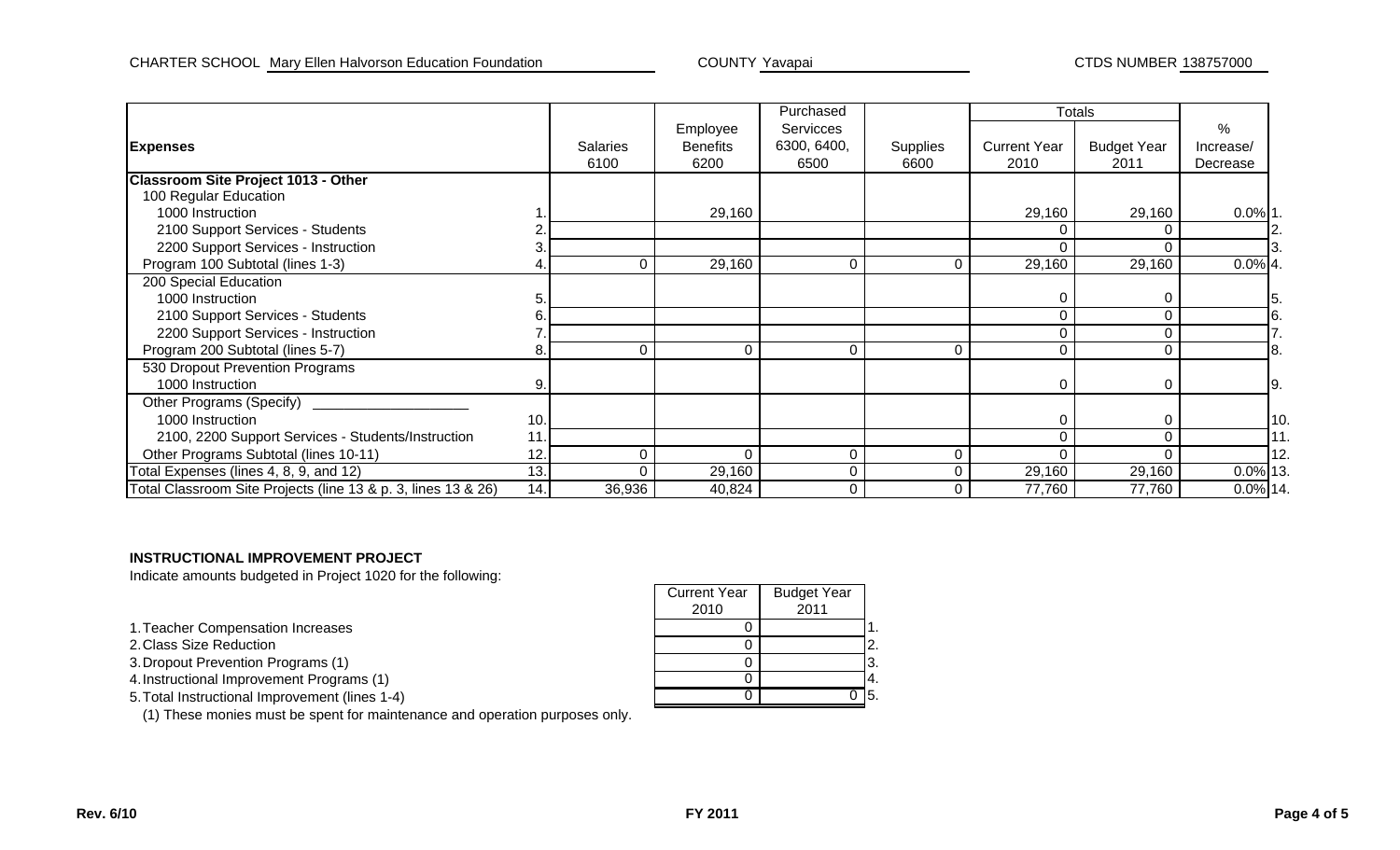|                                                               |     |                 |                 | Purchased        |                 |                     | Totals             |             |
|---------------------------------------------------------------|-----|-----------------|-----------------|------------------|-----------------|---------------------|--------------------|-------------|
|                                                               |     |                 | Employee        | <b>Servicces</b> |                 |                     |                    | $\%$        |
| <b>Expenses</b>                                               |     | <b>Salaries</b> | <b>Benefits</b> | 6300, 6400,      | <b>Supplies</b> | <b>Current Year</b> | <b>Budget Year</b> | Increase/   |
|                                                               |     | 6100            | 6200            | 6500             | 6600            | 2010                | 2011               | Decrease    |
| <b>Classroom Site Project 1013 - Other</b>                    |     |                 |                 |                  |                 |                     |                    |             |
| 100 Regular Education                                         |     |                 |                 |                  |                 |                     |                    |             |
| 1000 Instruction                                              |     |                 | 29,160          |                  |                 | 29,160              | 29,160             | $0.0\%$ 1.  |
| 2100 Support Services - Students                              |     |                 |                 |                  |                 |                     |                    |             |
| 2200 Support Services - Instruction                           |     |                 |                 |                  |                 |                     |                    |             |
| Program 100 Subtotal (lines 1-3)                              |     |                 | 29,160          | $\Omega$         | ∩               | 29,160              | 29,160             | $0.0\%$ 4.  |
| 200 Special Education                                         |     |                 |                 |                  |                 |                     |                    |             |
| 1000 Instruction                                              |     |                 |                 |                  |                 | 0                   | 0                  |             |
| 2100 Support Services - Students                              |     |                 |                 |                  |                 | 0                   | $\Omega$           |             |
| 2200 Support Services - Instruction                           |     |                 |                 |                  |                 | $\mathbf 0$         |                    |             |
| Program 200 Subtotal (lines 5-7)                              | 8.  | $\Omega$        | $\Omega$        | $\Omega$         | $\Omega$        | 0                   | $\Omega$           |             |
| 530 Dropout Prevention Programs                               |     |                 |                 |                  |                 |                     |                    |             |
| 1000 Instruction                                              | 9.  |                 |                 |                  |                 | 0                   | 0                  | Ι9.         |
| Other Programs (Specify)                                      |     |                 |                 |                  |                 |                     |                    |             |
| 1000 Instruction                                              | 10. |                 |                 |                  |                 | 0                   |                    | 10          |
| 2100, 2200 Support Services - Students/Instruction            | 11. |                 |                 |                  |                 | $\overline{0}$      |                    | 11.         |
| Other Programs Subtotal (lines 10-11)                         | 12. | C               | $\Omega$        | 0                | $\Omega$        | $\Omega$            |                    | 12.         |
| Total Expenses (lines 4, 8, 9, and 12)                        | 13. |                 | 29,160          |                  |                 | 29,160              | 29,160             | 0.0% 13     |
| Total Classroom Site Projects (line 13 & p. 3, lines 13 & 26) | 14. | 36,936          | 40,824          | $\Omega$         |                 | 77,760              | 77,760             | $0.0\%$ 14. |

## **INSTRUCTIONAL IMPROVEMENT PROJECT**

Indicate amounts budgeted in Project 1020 for the following:

1. Teacher Compensation Increases

2.Class Size Reduction

3. Dropout Prevention Programs (1)

4. Instructional Improvement Programs (1)

5. Total Instructional Improvement (lines 1-4)

(1) These monies must be spent for maintenance and operation purposes only.

|                       | <b>Current Year</b> | <b>Budget Year</b> |            |
|-----------------------|---------------------|--------------------|------------|
|                       | 2010                | 2011               |            |
| tion Increases        |                     |                    |            |
| n                     |                     |                    |            |
| Programs (1)          |                     |                    | . ა.       |
| ement Programs (1)    |                     |                    | -4.        |
| provement (lines 1-4) |                     |                    | <b>15.</b> |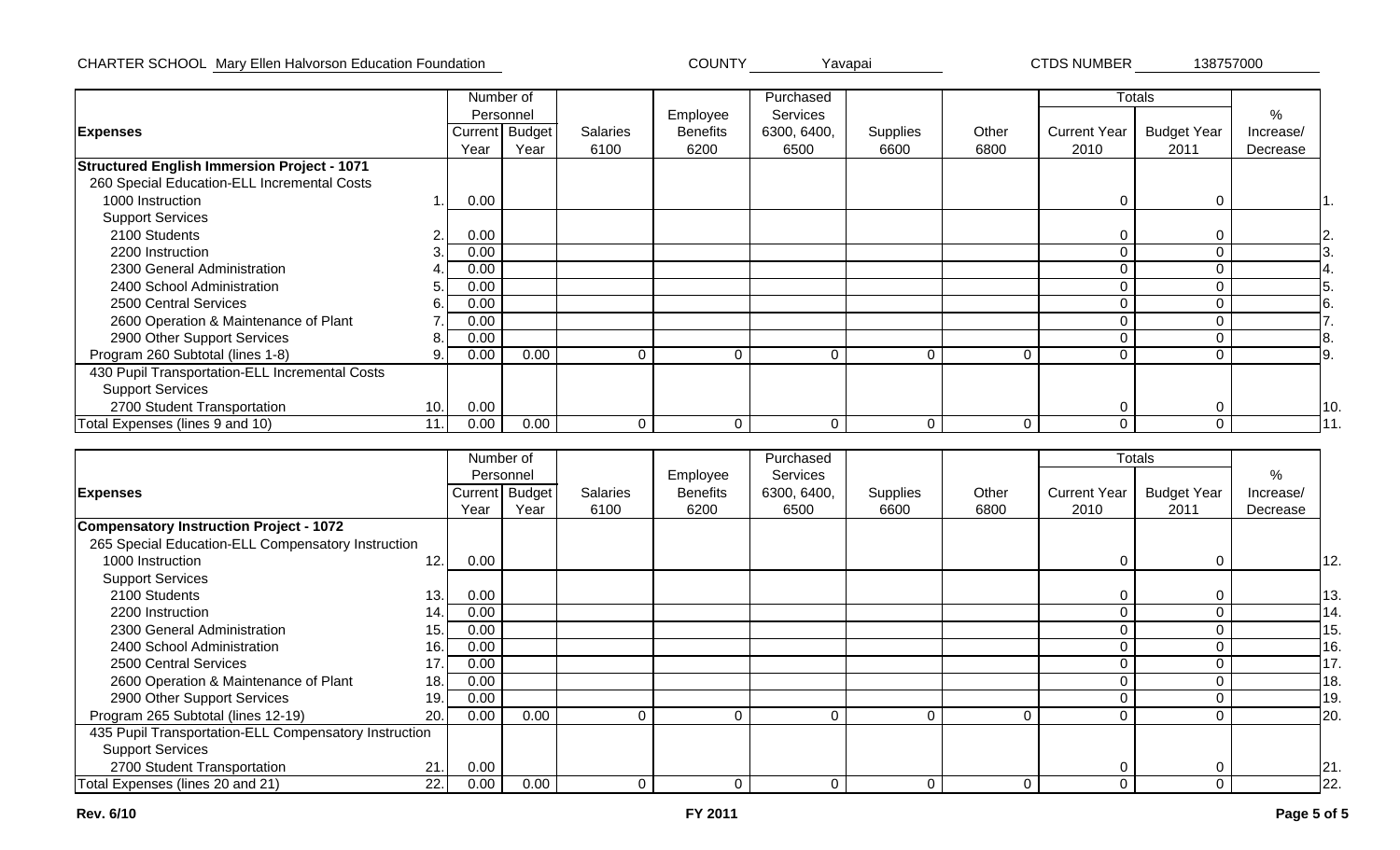## CHARTER SCHOOL Mary Ellen Halvorson Education Foundation Nation New York COUNTY Yavapai Navagai 2010 CTDS NUMBER 238757000

CTDS NUMBER

|                                                    |            | Number of      |                 |                 | Purchased       |                 |       |                     | <b>Totals</b>      |           |
|----------------------------------------------------|------------|----------------|-----------------|-----------------|-----------------|-----------------|-------|---------------------|--------------------|-----------|
|                                                    |            | Personnel      |                 | Employee        | <b>Services</b> |                 |       |                     |                    | %         |
| <b>Expenses</b>                                    |            | Current Budget | <b>Salaries</b> | <b>Benefits</b> | 6300, 6400,     | <b>Supplies</b> | Other | <b>Current Year</b> | <b>Budget Year</b> | Increase/ |
|                                                    | Year       | Year           | 6100            | 6200            | 6500            | 6600            | 6800  | 2010                | 2011               | Decrease  |
| <b>Structured English Immersion Project - 1071</b> |            |                |                 |                 |                 |                 |       |                     |                    |           |
| 260 Special Education-ELL Incremental Costs        |            |                |                 |                 |                 |                 |       |                     |                    |           |
| 1000 Instruction                                   | 0.00       |                |                 |                 |                 |                 |       | 0                   | 0                  |           |
| <b>Support Services</b>                            |            |                |                 |                 |                 |                 |       |                     |                    |           |
| 2100 Students                                      | 0.00       |                |                 |                 |                 |                 |       | 0                   |                    |           |
| 2200 Instruction                                   | 0.00       |                |                 |                 |                 |                 |       | $\Omega$            |                    |           |
| 2300 General Administration                        | 0.00       |                |                 |                 |                 |                 |       | $\Omega$            |                    |           |
| 2400 School Administration                         | 0.00       |                |                 |                 |                 |                 |       | 0                   |                    |           |
| 2500 Central Services                              | 0.00<br>6. |                |                 |                 |                 |                 |       | $\Omega$            |                    |           |
| 2600 Operation & Maintenance of Plant              | 0.00       |                |                 |                 |                 |                 |       | 0                   |                    |           |
| 2900 Other Support Services                        | 0.00       |                |                 |                 |                 |                 |       | $\Omega$            |                    |           |
| Program 260 Subtotal (lines 1-8)                   | 0.00       | 0.00           |                 | 0               |                 |                 | 0     | 0                   |                    |           |
| 430 Pupil Transportation-ELL Incremental Costs     |            |                |                 |                 |                 |                 |       |                     |                    |           |
| <b>Support Services</b>                            |            |                |                 |                 |                 |                 |       |                     |                    |           |
| 2700 Student Transportation<br>10.                 | 0.00       |                |                 |                 |                 |                 |       | 0                   |                    | 10        |
| Total Expenses (lines 9 and 10)<br>11              | 0.00       | 0.00           | $\Omega$        | $\Omega$        | $\Omega$        | $\Omega$        | 0     | 0                   | $\Omega$           | 11        |

|                                                       |             | Number of      |                 |                 | Purchased   |          |          |                     | Totals             |           |     |
|-------------------------------------------------------|-------------|----------------|-----------------|-----------------|-------------|----------|----------|---------------------|--------------------|-----------|-----|
|                                                       |             | Personnel      |                 | Employee        | Services    |          |          |                     |                    | %         |     |
| <b>Expenses</b>                                       |             | Current Budget | <b>Salaries</b> | <b>Benefits</b> | 6300, 6400, | Supplies | Other    | <b>Current Year</b> | <b>Budget Year</b> | Increase/ |     |
|                                                       | Year        | Year           | 6100            | 6200            | 6500        | 6600     | 6800     | 2010                | 2011               | Decrease  |     |
| Compensatory Instruction Project - 1072               |             |                |                 |                 |             |          |          |                     |                    |           |     |
| 265 Special Education-ELL Compensatory Instruction    |             |                |                 |                 |             |          |          |                     |                    |           |     |
| 1000 Instruction<br>12.                               | 0.00        |                |                 |                 |             |          |          | 0                   | 0                  |           | 12. |
| <b>Support Services</b>                               |             |                |                 |                 |             |          |          |                     |                    |           |     |
| 2100 Students                                         | 13.<br>0.00 |                |                 |                 |             |          |          | 0                   |                    |           | 13. |
| 2200 Instruction                                      | 0.00<br>14. |                |                 |                 |             |          |          | 0                   |                    |           | 14. |
| 2300 General Administration                           | 0.00<br>15. |                |                 |                 |             |          |          | 0                   |                    |           | 15. |
| 2400 School Administration                            | 16.<br>0.00 |                |                 |                 |             |          |          | 0                   |                    |           | 16. |
| 2500 Central Services<br>17.                          | 0.00        |                |                 |                 |             |          |          | 0                   |                    |           | 17. |
| 2600 Operation & Maintenance of Plant                 | 0.00<br>18. |                |                 |                 |             |          |          | $\Omega$            |                    |           | 18. |
| 2900 Other Support Services<br>19.                    | 0.00        |                |                 |                 |             |          |          | 0                   | 0                  |           | 19. |
| Program 265 Subtotal (lines 12-19)                    | 0.00<br>20. | 0.00           |                 | $\Omega$        |             | $\Omega$ | 0        | 0                   |                    |           | 20. |
| 435 Pupil Transportation-ELL Compensatory Instruction |             |                |                 |                 |             |          |          |                     |                    |           |     |
| <b>Support Services</b>                               |             |                |                 |                 |             |          |          |                     |                    |           |     |
| 21.<br>2700 Student Transportation                    | 0.00        |                |                 |                 |             |          |          | 0                   | $\Omega$           |           | 21  |
| Total Expenses (lines 20 and 21)<br>22.               | 0.00        | 0.00           | $\Omega$        | $\Omega$        | $\Omega$    | $\Omega$ | $\Omega$ | $\Omega$            | $\Omega$           |           | 22  |